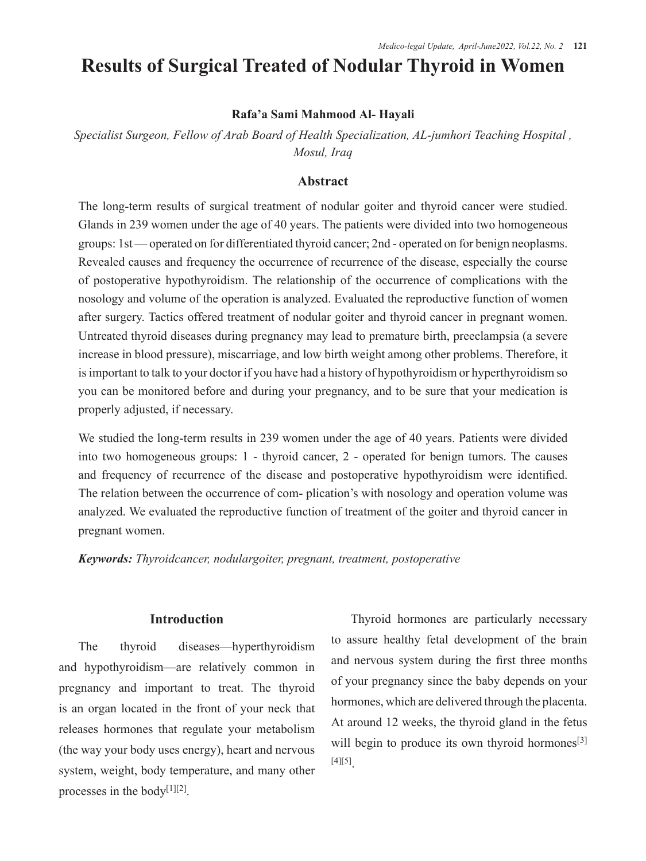# **Results of Surgical Treated of Nodular Thyroid in Women**

### **Rafa'a Sami Mahmood Al- Hayali**

*Specialist Surgeon, Fellow of Arab Board of Health Specialization, AL-jumhori Teaching Hospital , Mosul, Iraq*

# **Abstract**

The long-term results of surgical treatment of nodular goiter and thyroid cancer were studied. Glands in 239 women under the age of 40 years. The patients were divided into two homogeneous groups: 1st — operated on for differentiated thyroid cancer; 2nd - operated on for benign neoplasms. Revealed causes and frequency the occurrence of recurrence of the disease, especially the course of postoperative hypothyroidism. The relationship of the occurrence of complications with the nosology and volume of the operation is analyzed. Evaluated the reproductive function of women after surgery. Tactics offered treatment of nodular goiter and thyroid cancer in pregnant women. Untreated thyroid diseases during pregnancy may lead to premature birth, preeclampsia (a severe increase in blood pressure), miscarriage, and low birth weight among other problems. Therefore, it is important to talk to your doctor if you have had a history of hypothyroidism or hyperthyroidism so you can be monitored before and during your pregnancy, and to be sure that your medication is properly adjusted, if necessary.

We studied the long-term results in 239 women under the age of 40 years. Patients were divided into two homogeneous groups: 1 - thyroid cancer, 2 - operated for benign tumors. The causes and frequency of recurrence of the disease and postoperative hypothyroidism were identified. The relation between the occurrence of com- plication's with nosology and operation volume was analyzed. We evaluated the reproductive function of treatment of the goiter and thyroid cancer in pregnant women.

*Keywords: Thyroidcancer, nodulargoiter, pregnant, treatment, postoperative* 

### **Introduction**

The thyroid diseases—hyperthyroidism and hypothyroidism—are relatively common in pregnancy and important to treat. The thyroid is an organ located in the front of your neck that releases hormones that regulate your metabolism (the way your body uses energy), heart and nervous system, weight, body temperature, and many other processes in the body<sup>[1][2]</sup>.

Thyroid hormones are particularly necessary to assure healthy fetal development of the brain and nervous system during the first three months of your pregnancy since the baby depends on your hormones, which are delivered through the placenta. At around 12 weeks, the thyroid gland in the fetus will begin to produce its own thyroid hormones<sup>[3]</sup> [4][5].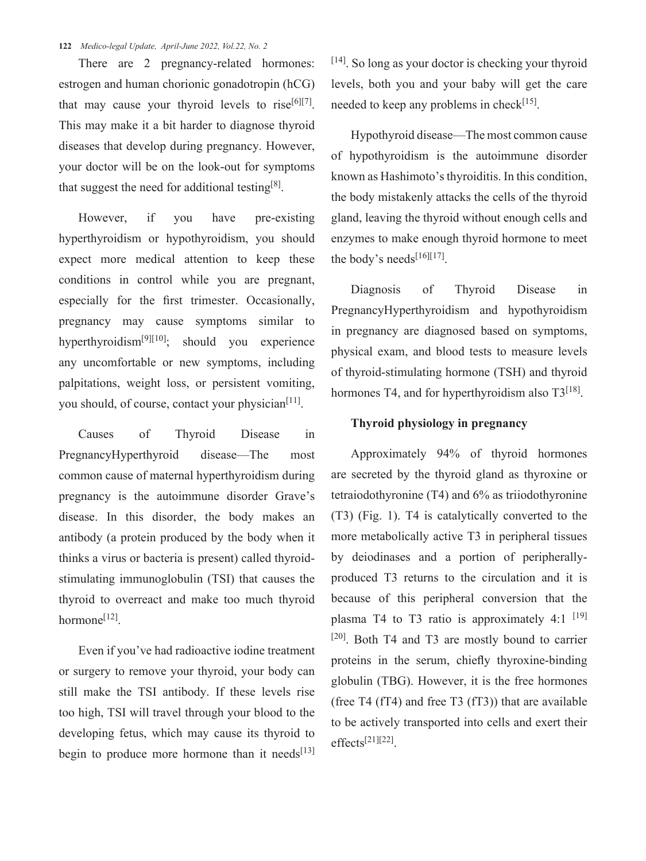#### **122** *Medico-legal Update, April-June 2022, Vol.22, No. 2*

There are 2 pregnancy-related hormones: estrogen and human chorionic gonadotropin (hCG) that may cause your thyroid levels to rise<sup>[6][7]</sup>. This may make it a bit harder to diagnose thyroid diseases that develop during pregnancy. However, your doctor will be on the look-out for symptoms that suggest the need for additional testing<sup>[8]</sup>.

However, if you have pre-existing hyperthyroidism or hypothyroidism, you should expect more medical attention to keep these conditions in control while you are pregnant, especially for the first trimester. Occasionally, pregnancy may cause symptoms similar to hyperthyroidism<sup>[9][10]</sup>; should you experience any uncomfortable or new symptoms, including palpitations, weight loss, or persistent vomiting, you should, of course, contact your physician<sup>[11]</sup>.

Causes of Thyroid Disease in PregnancyHyperthyroid disease—The most common cause of maternal hyperthyroidism during pregnancy is the autoimmune disorder Grave's disease. In this disorder, the body makes an antibody (a protein produced by the body when it thinks a virus or bacteria is present) called thyroidstimulating immunoglobulin (TSI) that causes the thyroid to overreact and make too much thyroid hormone<sup>[12]</sup>.

Even if you've had radioactive iodine treatment or surgery to remove your thyroid, your body can still make the TSI antibody. If these levels rise too high, TSI will travel through your blood to the developing fetus, which may cause its thyroid to begin to produce more hormone than it needs $[13]$  [14]. So long as your doctor is checking your thyroid levels, both you and your baby will get the care needed to keep any problems in check $[15]$ .

Hypothyroid disease—The most common cause of hypothyroidism is the autoimmune disorder known as Hashimoto's thyroiditis. In this condition, the body mistakenly attacks the cells of the thyroid gland, leaving the thyroid without enough cells and enzymes to make enough thyroid hormone to meet the body's needs $[16][17]$ .

Diagnosis of Thyroid Disease in PregnancyHyperthyroidism and hypothyroidism in pregnancy are diagnosed based on symptoms, physical exam, and blood tests to measure levels of thyroid-stimulating hormone (TSH) and thyroid hormones T4, and for hyperthyroidism also  $T3^{[18]}$ .

## **Thyroid physiology in pregnancy**

Approximately 94% of thyroid hormones are secreted by the thyroid gland as thyroxine or tetraiodothyronine (T4) and 6% as triiodothyronine (T3) (Fig. 1). T4 is catalytically converted to the more metabolically active T3 in peripheral tissues by deiodinases and a portion of peripherallyproduced T3 returns to the circulation and it is because of this peripheral conversion that the plasma T4 to T3 ratio is approximately  $4:1$  <sup>[19]</sup> [20]. Both T4 and T3 are mostly bound to carrier proteins in the serum, chiefly thyroxine-binding globulin (TBG). However, it is the free hormones (free T4 (fT4) and free T3 (fT3)) that are available to be actively transported into cells and exert their  $effects<sup>[21][22]</sup>$ .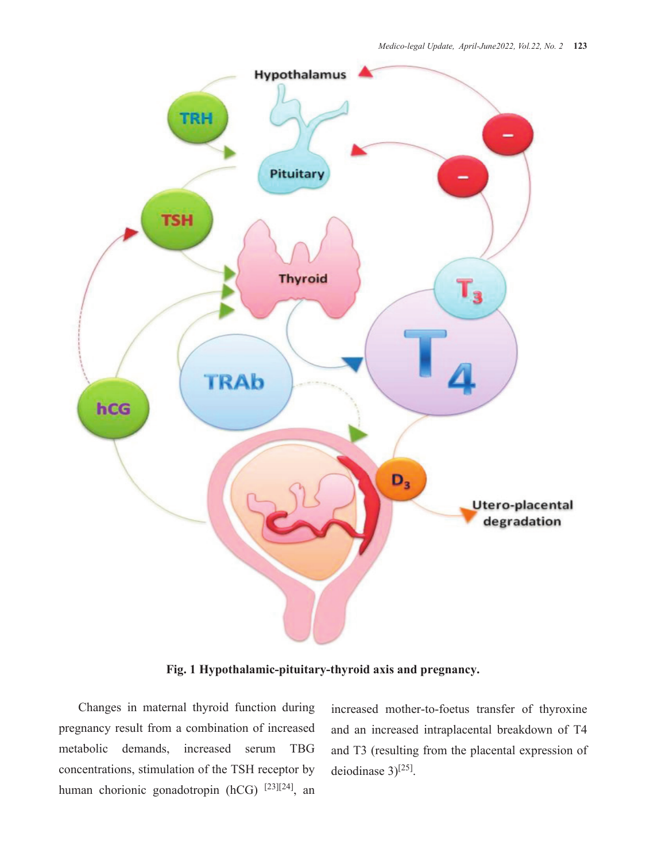

**Fig. 1 Hypothalamic-pituitary-thyroid axis and pregnancy.**

Changes in maternal thyroid function during pregnancy result from a combination of increased metabolic demands, increased serum TBG concentrations, stimulation of the TSH receptor by human chorionic gonadotropin (hCG) [23][24], an

increased mother-to-foetus transfer of thyroxine and an increased intraplacental breakdown of T4 and T3 (resulting from the placental expression of deiodinase 3)<sup>[25]</sup>.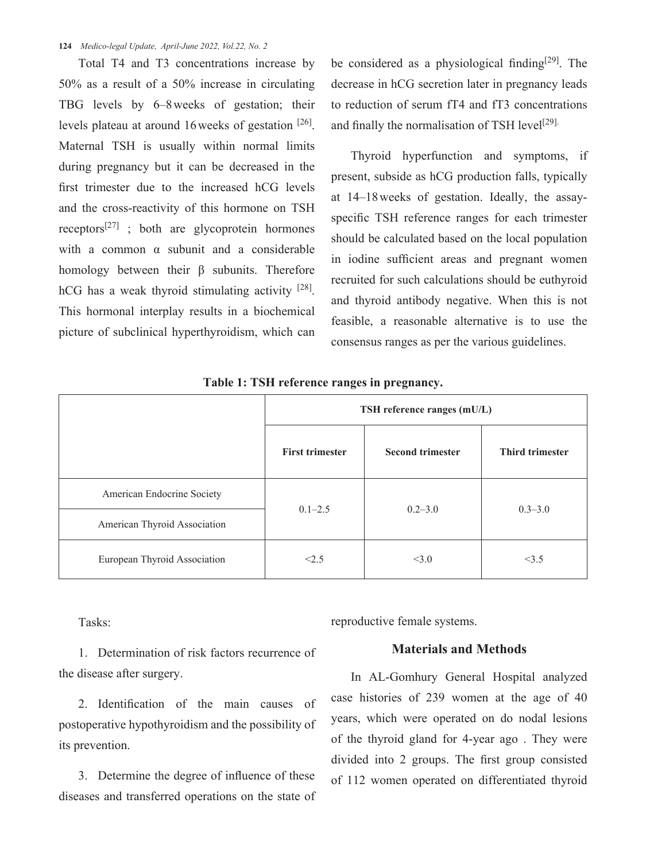#### **124** *Medico-legal Update, April-June 2022, Vol.22, No. 2*

Total T4 and T3 concentrations increase by 50% as a result of a 50% increase in circulating TBG levels by 6–8weeks of gestation; their levels plateau at around 16weeks of gestation [26]. Maternal TSH is usually within normal limits during pregnancy but it can be decreased in the first trimester due to the increased hCG levels and the cross-reactivity of this hormone on TSH receptors<sup>[27]</sup> ; both are glycoprotein hormones with a common α subunit and a considerable homology between their β subunits. Therefore hCG has a weak thyroid stimulating activity  $[28]$ . This hormonal interplay results in a biochemical picture of subclinical hyperthyroidism, which can be considered as a physiological finding $[29]$ . The decrease in hCG secretion later in pregnancy leads to reduction of serum fT4 and fT3 concentrations and finally the normalisation of TSH level<sup>[29].</sup>

Thyroid hyperfunction and symptoms, if present, subside as hCG production falls, typically at 14–18weeks of gestation. Ideally, the assayspecific TSH reference ranges for each trimester should be calculated based on the local population in iodine sufficient areas and pregnant women recruited for such calculations should be euthyroid and thyroid antibody negative. When this is not feasible, a reasonable alternative is to use the consensus ranges as per the various guidelines.

| o<br>л.<br>$\bullet$<br>$\bullet$ |                             |                         |                        |  |
|-----------------------------------|-----------------------------|-------------------------|------------------------|--|
|                                   | TSH reference ranges (mU/L) |                         |                        |  |
|                                   | <b>First trimester</b>      | <b>Second trimester</b> | <b>Third trimester</b> |  |
| American Endocrine Society        | $0.1 - 2.5$                 | $0.2 - 3.0$             | $0.3 - 3.0$            |  |
| American Thyroid Association      |                             |                         |                        |  |
| European Thyroid Association      | <2.5                        | <3.0                    | <3.5                   |  |

**Table 1: TSH reference ranges in pregnancy.**

Tasks:

1. Determination of risk factors recurrence of the disease after surgery.

2. Identification of the main causes of postoperative hypothyroidism and the possibility of its prevention.

3. Determine the degree of influence of these diseases and transferred operations on the state of reproductive female systems.

# **Materials and Methods**

In AL-Gomhury General Hospital analyzed case histories of 239 women at the age of 40 years, which were operated on do nodal lesions of the thyroid gland for 4-year ago . They were divided into 2 groups. The first group consisted of 112 women operated on differentiated thyroid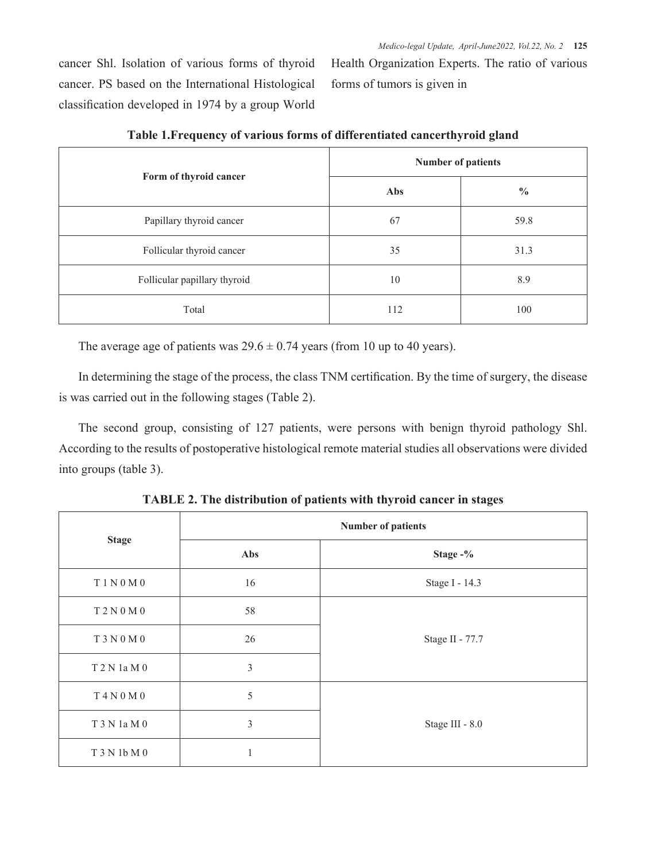cancer Shl. Isolation of various forms of thyroid cancer. PS based on the International Histological classification developed in 1974 by a group World Health Organization Experts. The ratio of various forms of tumors is given in

| Form of thyroid cancer       | <b>Number of patients</b> |               |  |
|------------------------------|---------------------------|---------------|--|
|                              | Abs                       | $\frac{0}{0}$ |  |
| Papillary thyroid cancer     | 67                        | 59.8          |  |
| Follicular thyroid cancer    | 35                        | 31.3          |  |
| Follicular papillary thyroid | 10                        | 8.9           |  |
| Total                        | 112                       | 100           |  |

**Table 1.Frequency of various forms of differentiated cancerthyroid gland**

The average age of patients was  $29.6 \pm 0.74$  years (from 10 up to 40 years).

In determining the stage of the process, the class TNM certification. By the time of surgery, the disease is was carried out in the following stages (Table 2).

The second group, consisting of 127 patients, were persons with benign thyroid pathology Shl. According to the results of postoperative histological remote material studies all observations were divided into groups (table 3).

|                | <b>Number of patients</b> |                 |  |
|----------------|---------------------------|-----------------|--|
| <b>Stage</b>   | Abs                       | Stage -%        |  |
| $T1N0M0$       | 16                        | Stage I - 14.3  |  |
| T 2 N 0 M 0    | 58                        |                 |  |
| T 3 N 0 M 0    | 26                        | Stage II - 77.7 |  |
| $T$ 2 N 1a M 0 | $\mathfrak{Z}$            |                 |  |
| $T$ 4 N 0 M 0  | 5                         |                 |  |
| T 3 N 1a M 0   | 3                         | Stage III - 8.0 |  |
| T 3 N 1b M 0   |                           |                 |  |

**TABLE 2. The distribution of patients with thyroid cancer in stages**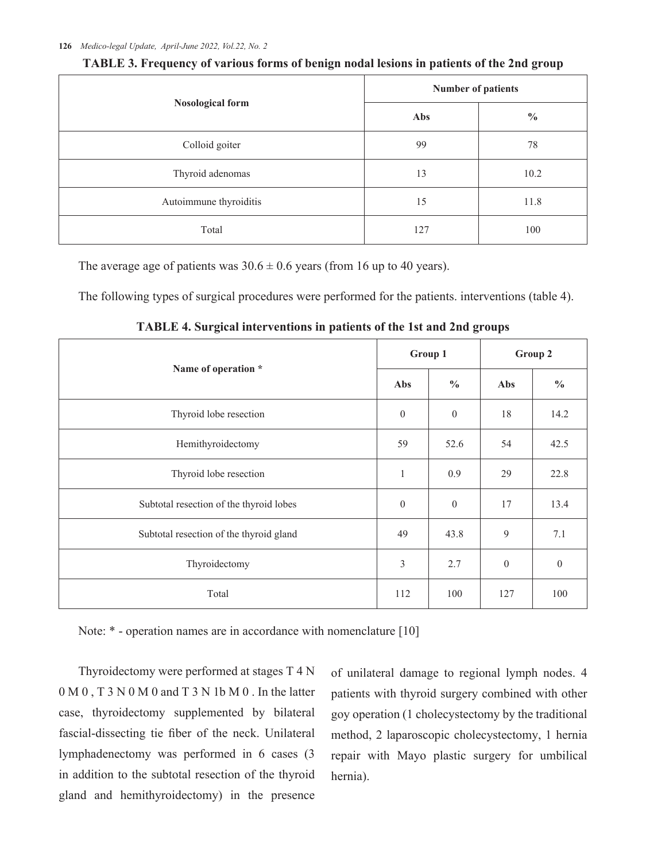|                         | <b>Number of patients</b> |               |  |
|-------------------------|---------------------------|---------------|--|
| <b>Nosological form</b> | Abs                       | $\frac{0}{0}$ |  |
| Colloid goiter          | 99                        | 78            |  |
| Thyroid adenomas        | 13                        | 10.2          |  |
| Autoimmune thyroiditis  | 15                        | 11.8          |  |
| Total                   | 127                       | 100           |  |

**TABLE 3. Frequency of various forms of benign nodal lesions in patients of the 2nd group**

The average age of patients was  $30.6 \pm 0.6$  years (from 16 up to 40 years).

The following types of surgical procedures were performed for the patients. interventions (table 4).

| $\circ$                                 |                  | $\circ$       |                  |                |
|-----------------------------------------|------------------|---------------|------------------|----------------|
| Name of operation *                     | Group 1          |               | Group 2          |                |
|                                         | Abs              | $\frac{0}{0}$ | Abs              | $\frac{0}{0}$  |
| Thyroid lobe resection                  | $\boldsymbol{0}$ | $\mathbf{0}$  | 18               | 14.2           |
| Hemithyroidectomy                       | 59               | 52.6          | 54               | 42.5           |
| Thyroid lobe resection                  | 1                | 0.9           | 29               | 22.8           |
| Subtotal resection of the thyroid lobes | $\mathbf{0}$     | $\mathbf{0}$  | 17               | 13.4           |
| Subtotal resection of the thyroid gland | 49               | 43.8          | 9                | 7.1            |
| Thyroidectomy                           | 3                | 2.7           | $\boldsymbol{0}$ | $\overline{0}$ |
| Total                                   | 112              | 100           | 127              | 100            |

**TABLE 4. Surgical interventions in patients of the 1st and 2nd groups**

Note: \* - operation names are in accordance with nomenclature [10]

Thyroidectomy were performed at stages T 4 N 0 M 0 , T 3 N 0 M 0 and T 3 N 1b M 0 . In the latter case, thyroidectomy supplemented by bilateral fascial-dissecting tie fiber of the neck. Unilateral lymphadenectomy was performed in 6 cases (3 in addition to the subtotal resection of the thyroid gland and hemithyroidectomy) in the presence of unilateral damage to regional lymph nodes. 4 patients with thyroid surgery combined with other goy operation (1 cholecystectomy by the traditional method, 2 laparoscopic cholecystectomy, 1 hernia repair with Mayo plastic surgery for umbilical hernia).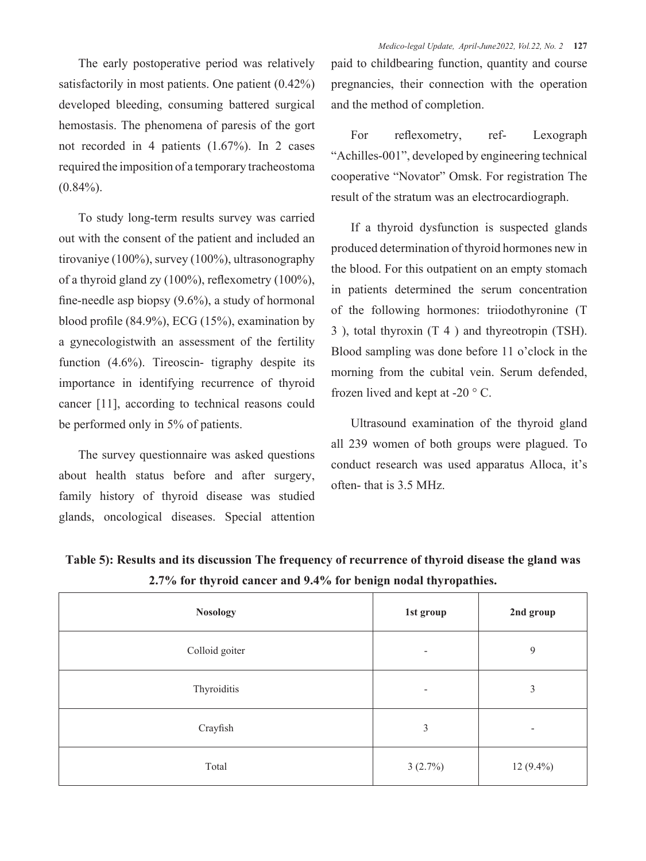The early postoperative period was relatively satisfactorily in most patients. One patient  $(0.42\%)$ developed bleeding, consuming battered surgical hemostasis. The phenomena of paresis of the gort not recorded in 4 patients (1.67%). In 2 cases required the imposition of a temporary tracheostoma  $(0.84\%)$ .

To study long-term results survey was carried out with the consent of the patient and included an tirovaniye (100%), survey (100%), ultrasonography of a thyroid gland zy (100%), reflexometry (100%), fine-needle asp biopsy (9.6%), a study of hormonal blood profile (84.9%), ECG (15%), examination by a gynecologistwith an assessment of the fertility function (4.6%). Tireoscin- tigraphy despite its importance in identifying recurrence of thyroid cancer [11], according to technical reasons could be performed only in 5% of patients.

The survey questionnaire was asked questions about health status before and after surgery, family history of thyroid disease was studied glands, oncological diseases. Special attention paid to childbearing function, quantity and course pregnancies, their connection with the operation and the method of completion.

For reflexometry, ref- Lexograph "Achilles-001", developed by engineering technical cooperative "Novator" Omsk. For registration The result of the stratum was an electrocardiograph.

If a thyroid dysfunction is suspected glands produced determination of thyroid hormones new in the blood. For this outpatient on an empty stomach in patients determined the serum concentration of the following hormones: triiodothyronine (T 3 ), total thyroxin (T 4 ) and thyreotropin (TSH). Blood sampling was done before 11 o'clock in the morning from the cubital vein. Serum defended, frozen lived and kept at -20 ° C.

Ultrasound examination of the thyroid gland all 239 women of both groups were plagued. To conduct research was used apparatus Alloca, it's often- that is 3.5 MHz.

| <b>Nosology</b> | 1st group | 2nd group                |  |
|-----------------|-----------|--------------------------|--|
| Colloid goiter  | -         | 9                        |  |
| Thyroiditis     | -         | 3                        |  |
| Crayfish        | 3         | $\overline{\phantom{a}}$ |  |
| Total           | 3(2.7%)   | $12(9.4\%)$              |  |

**Table 5): Results and its discussion The frequency of recurrence of thyroid disease the gland was 2.7% for thyroid cancer and 9.4% for benign nodal thyropathies.**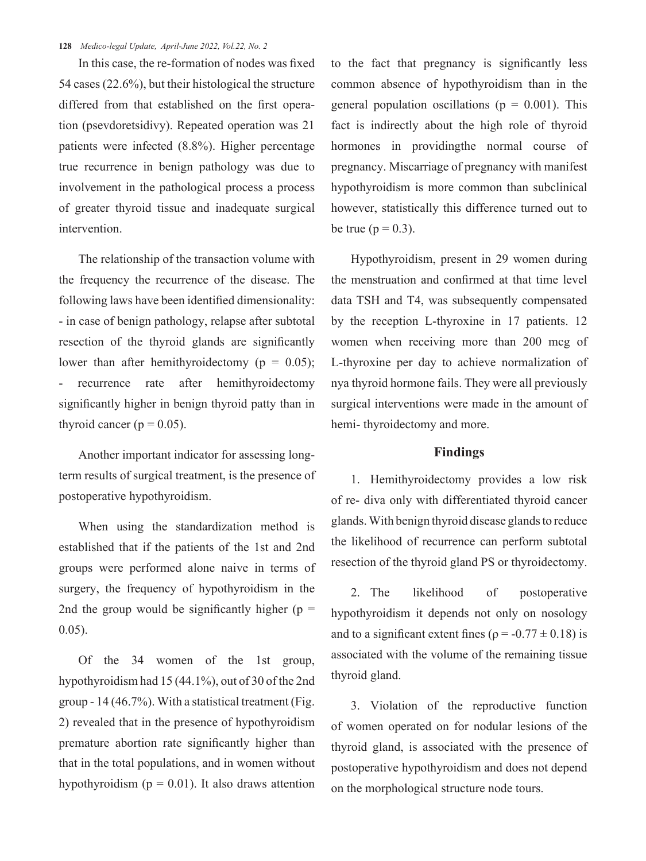#### **128** *Medico-legal Update, April-June 2022, Vol.22, No. 2*

In this case, the re-formation of nodes was fixed 54 cases (22.6%), but their histological the structure differed from that established on the first operation (psevdoretsidivy). Repeated operation was 21 patients were infected (8.8%). Higher percentage true recurrence in benign pathology was due to involvement in the pathological process a process of greater thyroid tissue and inadequate surgical intervention.

The relationship of the transaction volume with the frequency the recurrence of the disease. The following laws have been identified dimensionality: - in case of benign pathology, relapse after subtotal resection of the thyroid glands are significantly lower than after hemithyroidectomy ( $p = 0.05$ ); recurrence rate after hemithyroidectomy significantly higher in benign thyroid patty than in thyroid cancer ( $p = 0.05$ ).

Another important indicator for assessing longterm results of surgical treatment, is the presence of postoperative hypothyroidism.

When using the standardization method is established that if the patients of the 1st and 2nd groups were performed alone naive in terms of surgery, the frequency of hypothyroidism in the 2nd the group would be significantly higher ( $p =$ 0.05).

Of the 34 women of the 1st group, hypothyroidism had 15 (44.1%), out of 30 of the 2nd group - 14 (46.7%). With a statistical treatment (Fig. 2) revealed that in the presence of hypothyroidism premature abortion rate significantly higher than that in the total populations, and in women without hypothyroidism ( $p = 0.01$ ). It also draws attention to the fact that pregnancy is significantly less common absence of hypothyroidism than in the general population oscillations ( $p = 0.001$ ). This fact is indirectly about the high role of thyroid hormones in providingthe normal course of pregnancy. Miscarriage of pregnancy with manifest hypothyroidism is more common than subclinical however, statistically this difference turned out to be true ( $p = 0.3$ ).

Hypothyroidism, present in 29 women during the menstruation and confirmed at that time level data TSH and T4, was subsequently compensated by the reception L-thyroxine in 17 patients. 12 women when receiving more than 200 mcg of L-thyroxine per day to achieve normalization of nya thyroid hormone fails. They were all previously surgical interventions were made in the amount of hemi- thyroidectomy and more.

### **Findings**

1. Hemithyroidectomy provides a low risk of re- diva only with differentiated thyroid cancer glands. With benign thyroid disease glands to reduce the likelihood of recurrence can perform subtotal resection of the thyroid gland PS or thyroidectomy.

2. The likelihood of postoperative hypothyroidism it depends not only on nosology and to a significant extent fines ( $\rho = -0.77 \pm 0.18$ ) is associated with the volume of the remaining tissue thyroid gland.

3. Violation of the reproductive function of women operated on for nodular lesions of the thyroid gland, is associated with the presence of postoperative hypothyroidism and does not depend on the morphological structure node tours.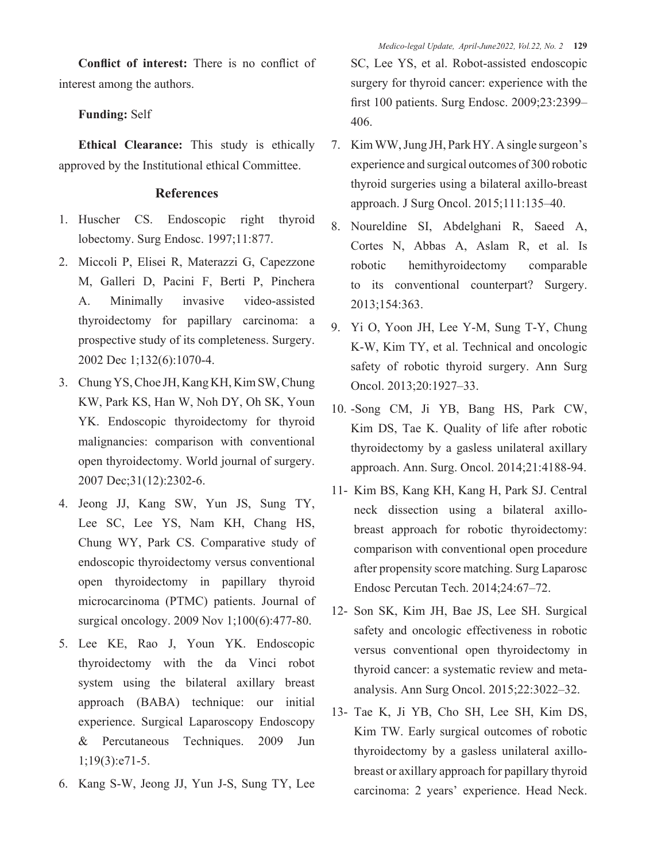**Conflict of interest:** There is no conflict of interest among the authors.

# **Funding:** Self

**Ethical Clearance:** This study is ethically approved by the Institutional ethical Committee.

# **References**

- 1. Huscher CS. Endoscopic right thyroid lobectomy. Surg Endosc. 1997;11:877.
- 2. Miccoli P, Elisei R, Materazzi G, Capezzone M, Galleri D, Pacini F, Berti P, Pinchera A. Minimally invasive video-assisted thyroidectomy for papillary carcinoma: a prospective study of its completeness. Surgery. 2002 Dec 1;132(6):1070-4.
- 3. Chung YS, Choe JH, Kang KH, Kim SW, Chung KW, Park KS, Han W, Noh DY, Oh SK, Youn YK. Endoscopic thyroidectomy for thyroid malignancies: comparison with conventional open thyroidectomy. World journal of surgery. 2007 Dec;31(12):2302-6.
- 4. Jeong JJ, Kang SW, Yun JS, Sung TY, Lee SC, Lee YS, Nam KH, Chang HS, Chung WY, Park CS. Comparative study of endoscopic thyroidectomy versus conventional open thyroidectomy in papillary thyroid microcarcinoma (PTMC) patients. Journal of surgical oncology. 2009 Nov 1;100(6):477-80.
- 5. Lee KE, Rao J, Youn YK. Endoscopic thyroidectomy with the da Vinci robot system using the bilateral axillary breast approach (BABA) technique: our initial experience. Surgical Laparoscopy Endoscopy & Percutaneous Techniques. 2009 Jun 1;19(3):e71-5.
- 6. Kang S-W, Jeong JJ, Yun J-S, Sung TY, Lee

SC, Lee YS, et al. Robot-assisted endoscopic surgery for thyroid cancer: experience with the first 100 patients. Surg Endosc. 2009;23:2399– 406.

- 7. Kim WW, Jung JH, Park HY. A single surgeon's experience and surgical outcomes of 300 robotic thyroid surgeries using a bilateral axillo-breast approach. J Surg Oncol. 2015;111:135–40.
- 8. Noureldine SI, Abdelghani R, Saeed A, Cortes N, Abbas A, Aslam R, et al. Is robotic hemithyroidectomy comparable to its conventional counterpart? Surgery. 2013;154:363.
- 9. Yi O, Yoon JH, Lee Y-M, Sung T-Y, Chung K-W, Kim TY, et al. Technical and oncologic safety of robotic thyroid surgery. Ann Surg Oncol. 2013;20:1927–33.
- 10. -Song CM, Ji YB, Bang HS, Park CW, Kim DS, Tae K. Quality of life after robotic thyroidectomy by a gasless unilateral axillary approach. Ann. Surg. Oncol. 2014;21:4188-94.
- 11- Kim BS, Kang KH, Kang H, Park SJ. Central neck dissection using a bilateral axillobreast approach for robotic thyroidectomy: comparison with conventional open procedure after propensity score matching. Surg Laparosc Endosc Percutan Tech. 2014;24:67–72.
- 12- Son SK, Kim JH, Bae JS, Lee SH. Surgical safety and oncologic effectiveness in robotic versus conventional open thyroidectomy in thyroid cancer: a systematic review and metaanalysis. Ann Surg Oncol. 2015;22:3022–32.
- 13- Tae K, Ji YB, Cho SH, Lee SH, Kim DS, Kim TW. Early surgical outcomes of robotic thyroidectomy by a gasless unilateral axillobreast or axillary approach for papillary thyroid carcinoma: 2 years' experience. Head Neck.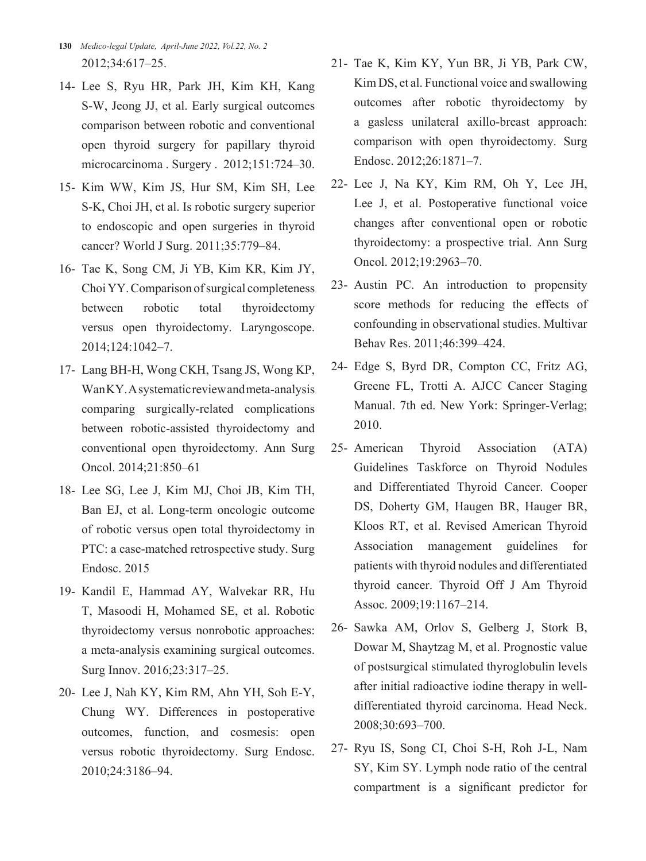- **130** *Medico-legal Update, April-June 2022, Vol.22, No. 2* 2012;34:617–25.
- 14- Lee S, Ryu HR, Park JH, Kim KH, Kang S-W, Jeong JJ, et al. Early surgical outcomes comparison between robotic and conventional open thyroid surgery for papillary thyroid microcarcinoma . Surgery . 2012;151:724–30.
- 15- Kim WW, Kim JS, Hur SM, Kim SH, Lee S-K, Choi JH, et al. Is robotic surgery superior to endoscopic and open surgeries in thyroid cancer? World J Surg. 2011;35:779–84.
- 16- Tae K, Song CM, Ji YB, Kim KR, Kim JY, Choi YY. Comparison of surgical completeness between robotic total thyroidectomy versus open thyroidectomy. Laryngoscope. 2014;124:1042–7.
- 17- Lang BH-H, Wong CKH, Tsang JS, Wong KP, Wan KY. A systematic review and meta-analysis comparing surgically-related complications between robotic-assisted thyroidectomy and conventional open thyroidectomy. Ann Surg Oncol. 2014;21:850–61
- 18- Lee SG, Lee J, Kim MJ, Choi JB, Kim TH, Ban EJ, et al. Long-term oncologic outcome of robotic versus open total thyroidectomy in PTC: a case-matched retrospective study. Surg Endosc. 2015
- 19- Kandil E, Hammad AY, Walvekar RR, Hu T, Masoodi H, Mohamed SE, et al. Robotic thyroidectomy versus nonrobotic approaches: a meta-analysis examining surgical outcomes. Surg Innov. 2016;23:317–25.
- 20- Lee J, Nah KY, Kim RM, Ahn YH, Soh E-Y, Chung WY. Differences in postoperative outcomes, function, and cosmesis: open versus robotic thyroidectomy. Surg Endosc. 2010;24:3186–94.
- 21- Tae K, Kim KY, Yun BR, Ji YB, Park CW, Kim DS, et al. Functional voice and swallowing outcomes after robotic thyroidectomy by a gasless unilateral axillo-breast approach: comparison with open thyroidectomy. Surg Endosc. 2012;26:1871–7.
- 22- Lee J, Na KY, Kim RM, Oh Y, Lee JH, Lee J, et al. Postoperative functional voice changes after conventional open or robotic thyroidectomy: a prospective trial. Ann Surg Oncol. 2012;19:2963–70.
- 23- Austin PC. An introduction to propensity score methods for reducing the effects of confounding in observational studies. Multivar Behav Res. 2011;46:399–424.
- 24- Edge S, Byrd DR, Compton CC, Fritz AG, Greene FL, Trotti A. AJCC Cancer Staging Manual. 7th ed. New York: Springer-Verlag; 2010.
- 25- American Thyroid Association (ATA) Guidelines Taskforce on Thyroid Nodules and Differentiated Thyroid Cancer. Cooper DS, Doherty GM, Haugen BR, Hauger BR, Kloos RT, et al. Revised American Thyroid Association management guidelines for patients with thyroid nodules and differentiated thyroid cancer. Thyroid Off J Am Thyroid Assoc. 2009;19:1167–214.
- 26- Sawka AM, Orlov S, Gelberg J, Stork B, Dowar M, Shaytzag M, et al. Prognostic value of postsurgical stimulated thyroglobulin levels after initial radioactive iodine therapy in welldifferentiated thyroid carcinoma. Head Neck. 2008;30:693–700.
- 27- Ryu IS, Song CI, Choi S-H, Roh J-L, Nam SY, Kim SY. Lymph node ratio of the central compartment is a significant predictor for